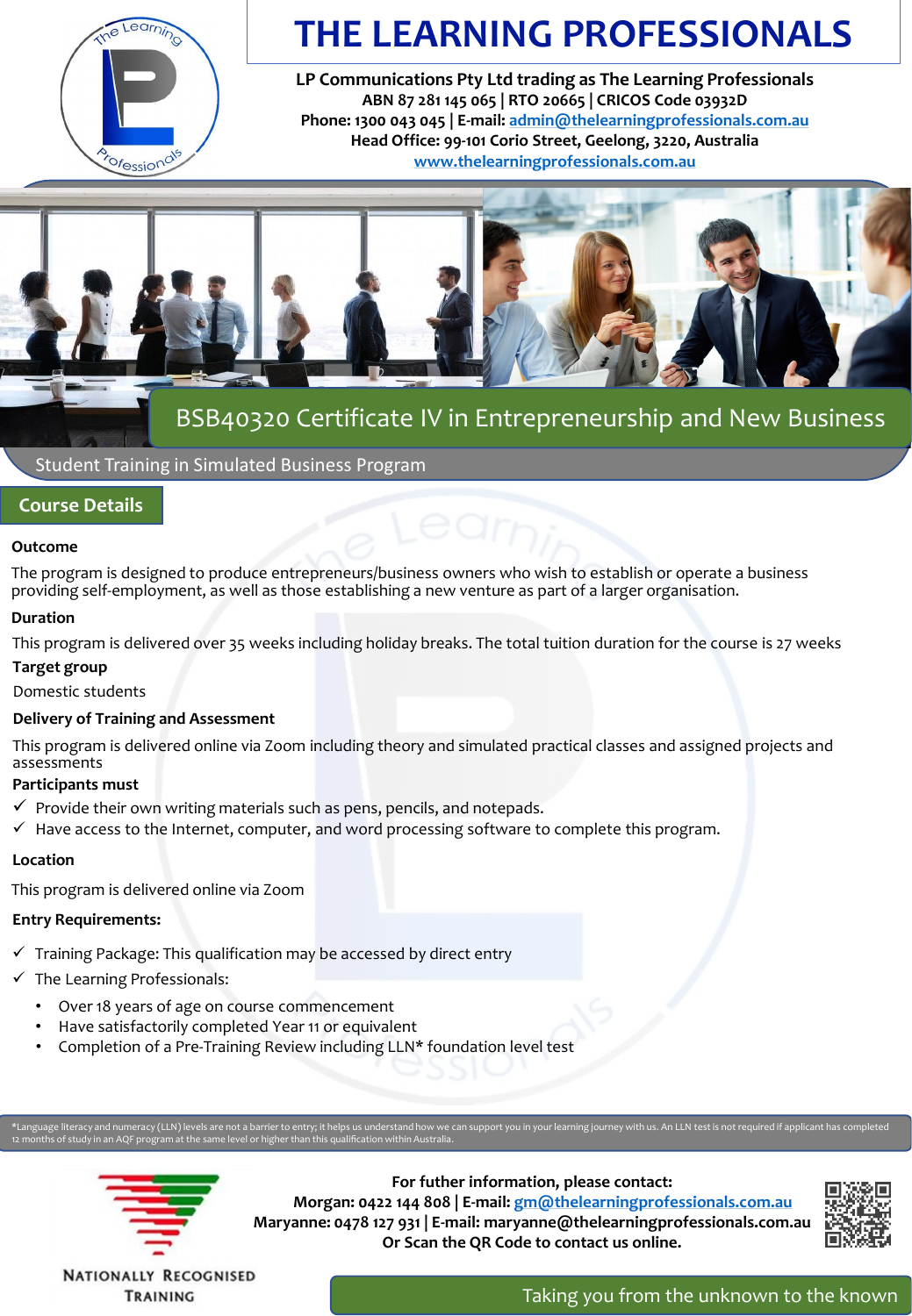

# **THE LEARNING PROFESSIONALS**

**LP Communications Pty Ltd trading as The Learning Professionals ABN 87 281 145 065 | RTO 20665 | CRICOS Code 03932D Phone: 1300 043 045 | E-mail: [admin@thelearningprofessionals.com.au](mailto:admin@thelearningprofessionals.com.au) Head Office: 99-101 Corio Street, Geelong, 3220, Australia [www.thelearningprofessionals.com.au](http://www.thelearningprofessionals.com.au/)**



## BSB40320 Certificate IV in Entrepreneurship and New Business

Student Training in Simulated Business Program

## **Course Details**

## **Outcome**

The program is designed to produce entrepreneurs/business owners who wish to establish or operate a business providing self-employment, as well as those establishing a new venture as part of a larger organisation.

## **Duration**

This program is delivered over 35 weeks including holiday breaks. The total tuition duration for the course is 27 weeks

## **Target group**

Domestic students

## **Delivery of Training and Assessment**

This program is delivered online via Zoom including theory and simulated practical classes and assigned projects and assessments

## **Participants must**

- $\checkmark$  Provide their own writing materials such as pens, pencils, and notepads.
- $\checkmark$  Have access to the Internet, computer, and word processing software to complete this program.

## **Location**

This program is delivered online via Zoom

## **Entry Requirements:**

- $\checkmark$  Training Package: This qualification may be accessed by direct entry
- $\checkmark$  The Learning Professionals:
	- Over 18 years of age on course commencement
	- Have satisfactorily completed Year 11 or equivalent
	- Completion of a Pre-Training Review including LLN\* foundation level test

12 months of study in an AQF program at the same level or higher than this qualification within Australia.



**For futher information, please contact: Morgan: 0422 144 808 | E-mail: [gm@thelearningprofessionals.com.au](mailto:gm@thelearningprofessionals.com.au) Maryanne: 0478 127 931 | E-mail: maryanne@thelearningprofessionals.com.au Or Scan the QR Code to contact us online.**



**NATIONALLY RECOGNISED** TRAINING